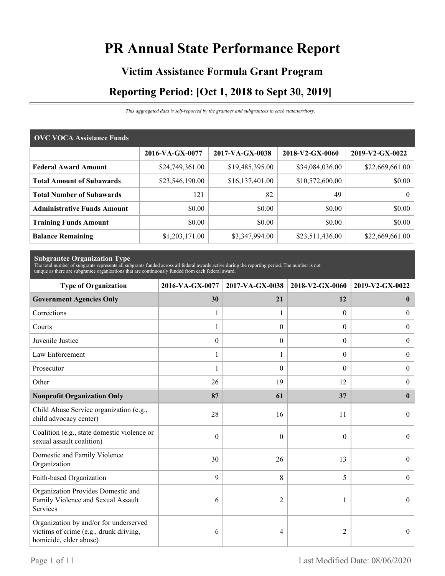# **PR Annual State Performance Report**

# **Victim Assistance Formula Grant Program Reporting Period: [Oct 1, 2018 to Sept 30, 2019]**

*This aggregated data is self-reported by the grantees and subgrantees in each state/territory.*

| <b>OVC VOCA Assistance Funds</b>   |                 |                 |                 |                 |
|------------------------------------|-----------------|-----------------|-----------------|-----------------|
|                                    | 2016-VA-GX-0077 | 2017-VA-GX-0038 | 2018-V2-GX-0060 | 2019-V2-GX-0022 |
| <b>Federal Award Amount</b>        | \$24,749,361.00 | \$19,485,395.00 | \$34,084,036.00 | \$22,669,661.00 |
| <b>Total Amount of Subawards</b>   | \$23,546,190.00 | \$16,137,401.00 | \$10,572,600.00 | \$0.00          |
| <b>Total Number of Subawards</b>   | 121             | 82              | 49              | 0 <sup>1</sup>  |
| <b>Administrative Funds Amount</b> | \$0.00          | \$0.00          | \$0.00          | \$0.00          |
| <b>Training Funds Amount</b>       | \$0.00          | \$0.00          | \$0.00          | \$0.00          |
| <b>Balance Remaining</b>           | \$1,203,171.00  | \$3,347,994.00  | \$23,511,436.00 | \$22,669,661.00 |

**Subgrantee Organization Type** The total number of subgrants represents all subgrants funded across all federal awards active during the reporting period. The number is not unique as there are subgrantee organizations that are continuously funded from each federal award.

| <b>Type of Organization</b>                                                                                | 2016-VA-GX-0077  | 2017-VA-GX-0038  |                  | 2018-V2-GX-0060<br>2019-V2-GX-0022 |  |
|------------------------------------------------------------------------------------------------------------|------------------|------------------|------------------|------------------------------------|--|
| <b>Government Agencies Only</b>                                                                            | 30               | 21               | 12               | $\mathbf 0$                        |  |
| Corrections                                                                                                | 1                |                  | $\theta$         | $\overline{0}$                     |  |
| Courts                                                                                                     | 1                | $\theta$         | $\Omega$         | $\boldsymbol{0}$                   |  |
| Juvenile Justice                                                                                           | $\boldsymbol{0}$ | $\boldsymbol{0}$ | $\boldsymbol{0}$ | $\boldsymbol{0}$                   |  |
| Law Enforcement                                                                                            | 1                | 1                | $\Omega$         | $\overline{0}$                     |  |
| Prosecutor                                                                                                 | 1                | $\theta$         | $\theta$         | $\boldsymbol{0}$                   |  |
| Other                                                                                                      | 26               | 19               | 12               | $\overline{0}$                     |  |
| <b>Nonprofit Organization Only</b>                                                                         | 87               | 61               | 37               | $\mathbf{0}$                       |  |
| Child Abuse Service organization (e.g.,<br>child advocacy center)                                          | 28               | 16               | 11               | $\Omega$                           |  |
| Coalition (e.g., state domestic violence or<br>sexual assault coalition)                                   | $\mathbf{0}$     | $\theta$         | $\theta$         | $\Omega$                           |  |
| Domestic and Family Violence<br>Organization                                                               | 30               | 26               | 13               | $\boldsymbol{0}$                   |  |
| Faith-based Organization                                                                                   | 9                | 8                | 5                | $\theta$                           |  |
| Organization Provides Domestic and<br>Family Violence and Sexual Assault<br>Services                       | 6                | $\overline{2}$   |                  | $\Omega$                           |  |
| Organization by and/or for underserved<br>victims of crime (e.g., drunk driving,<br>homicide, elder abuse) | 6                | 4                | $\overline{2}$   | $\overline{0}$                     |  |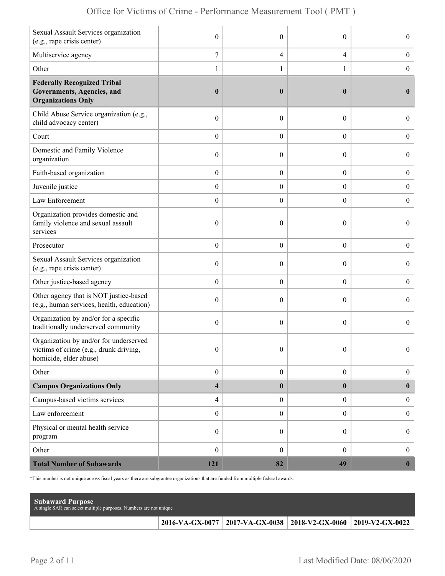| Sexual Assault Services organization<br>(e.g., rape crisis center)                                         | $\mathbf{0}$             | $\theta$         | $\theta$         | $\boldsymbol{0}$ |
|------------------------------------------------------------------------------------------------------------|--------------------------|------------------|------------------|------------------|
| Multiservice agency                                                                                        | 7                        | $\overline{4}$   | $\overline{4}$   | $\boldsymbol{0}$ |
| Other                                                                                                      | 1                        | 1                | 1                | $\boldsymbol{0}$ |
| <b>Federally Recognized Tribal</b><br><b>Governments, Agencies, and</b><br><b>Organizations Only</b>       | $\boldsymbol{0}$         | $\boldsymbol{0}$ | $\bf{0}$         | $\bf{0}$         |
| Child Abuse Service organization (e.g.,<br>child advocacy center)                                          | $\boldsymbol{0}$         | $\mathbf{0}$     | $\theta$         | $\overline{0}$   |
| Court                                                                                                      | $\boldsymbol{0}$         | $\theta$         | $\overline{0}$   | $\overline{0}$   |
| Domestic and Family Violence<br>organization                                                               | $\boldsymbol{0}$         | $\theta$         | $\boldsymbol{0}$ | $\boldsymbol{0}$ |
| Faith-based organization                                                                                   | $\boldsymbol{0}$         | $\boldsymbol{0}$ | $\boldsymbol{0}$ | $\boldsymbol{0}$ |
| Juvenile justice                                                                                           | $\boldsymbol{0}$         | $\overline{0}$   | $\overline{0}$   | $\boldsymbol{0}$ |
| Law Enforcement                                                                                            | $\boldsymbol{0}$         | $\boldsymbol{0}$ | $\boldsymbol{0}$ | $\boldsymbol{0}$ |
| Organization provides domestic and<br>family violence and sexual assault<br>services                       | $\boldsymbol{0}$         | $\mathbf{0}$     | $\theta$         | $\overline{0}$   |
| Prosecutor                                                                                                 | $\boldsymbol{0}$         | $\theta$         | $\boldsymbol{0}$ | $\boldsymbol{0}$ |
| Sexual Assault Services organization<br>(e.g., rape crisis center)                                         | $\boldsymbol{0}$         | $\theta$         | $\theta$         | $\boldsymbol{0}$ |
| Other justice-based agency                                                                                 | $\boldsymbol{0}$         | $\boldsymbol{0}$ | $\boldsymbol{0}$ | $\boldsymbol{0}$ |
| Other agency that is NOT justice-based<br>(e.g., human services, health, education)                        | $\boldsymbol{0}$         | $\theta$         | $\theta$         | $\overline{0}$   |
| Organization by and/or for a specific<br>traditionally underserved community                               | $\boldsymbol{0}$         | $\theta$         | $\theta$         | $\overline{0}$   |
| Organization by and/or for underserved<br>victims of crime (e.g., drunk driving,<br>homicide, elder abuse) | $\boldsymbol{0}$         | $\boldsymbol{0}$ | $\boldsymbol{0}$ | $\Omega$         |
| Other                                                                                                      | $\boldsymbol{0}$         | $\boldsymbol{0}$ | $\overline{0}$   | $\boldsymbol{0}$ |
| <b>Campus Organizations Only</b>                                                                           | $\overline{\mathbf{4}}$  | $\boldsymbol{0}$ | $\bf{0}$         | $\mathbf{0}$     |
| Campus-based victims services                                                                              | $\overline{\mathcal{A}}$ | $\boldsymbol{0}$ | $\overline{0}$   | $\boldsymbol{0}$ |
| Law enforcement                                                                                            | $\boldsymbol{0}$         | $\boldsymbol{0}$ | $\overline{0}$   | $\boldsymbol{0}$ |
| Physical or mental health service<br>program                                                               | $\boldsymbol{0}$         | $\theta$         | $\boldsymbol{0}$ | $\boldsymbol{0}$ |
| Other                                                                                                      | $\boldsymbol{0}$         | $\mathbf{0}$     | $\overline{0}$   | $\boldsymbol{0}$ |
| <b>Total Number of Subawards</b>                                                                           | 121                      | 82               | 49               | $\mathbf{0}$     |

\*This number is not unique across fiscal years as there are subgrantee organizations that are funded from multiple federal awards.

| <b>Subaward Purpose</b><br>A single SAR can select multiple purposes. Numbers are not unique |                                                                       |  |
|----------------------------------------------------------------------------------------------|-----------------------------------------------------------------------|--|
|                                                                                              | 2016-VA-GX-0077   2017-VA-GX-0038   2018-V2-GX-0060   2019-V2-GX-0022 |  |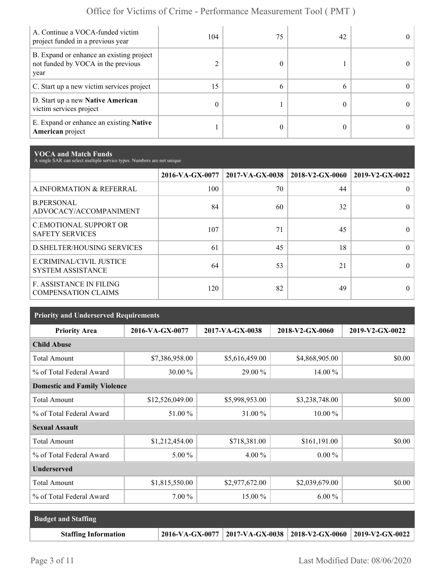| A. Continue a VOCA-funded victim<br>project funded in a previous year                  | 104 | 75 | 42 |  |
|----------------------------------------------------------------------------------------|-----|----|----|--|
| B. Expand or enhance an existing project<br>not funded by VOCA in the previous<br>year |     |    |    |  |
| C. Start up a new victim services project                                              | 15  | h  |    |  |
| D. Start up a new Native American<br>victim services project                           | 0   |    |    |  |
| E. Expand or enhance an existing <b>Native</b><br><b>American</b> project              |     |    |    |  |

**VOCA and Match Funds** A single SAR can select multiple service types. Numbers are not unique

|                                                              | 2016-VA-GX-0077 | $2017-VA-GX-0038$ | 2018-V2-GX-0060 | 2019-V2-GX-0022 |
|--------------------------------------------------------------|-----------------|-------------------|-----------------|-----------------|
| A.INFORMATION & REFERRAL                                     | 100             | 70                | 44              | 0               |
| <b>B.PERSONAL</b><br>ADVOCACY/ACCOMPANIMENT                  | 84              | 60                | 32              | 0               |
| <b>C.EMOTIONAL SUPPORT OR</b><br><b>SAFETY SERVICES</b>      | 107             | 71                | 45              |                 |
| <b>D.SHELTER/HOUSING SERVICES</b>                            | 61              | 45                | 18              | 0               |
| E.CRIMINAL/CIVIL JUSTICE<br><b>SYSTEM ASSISTANCE</b>         | 64              | 53                | 21              |                 |
| <b>F. ASSISTANCE IN FILING</b><br><b>COMPENSATION CLAIMS</b> | 120             | 82                | 49              |                 |

| <b>Priority and Underserved Requirements</b> |                 |                 |                 |                 |  |  |  |
|----------------------------------------------|-----------------|-----------------|-----------------|-----------------|--|--|--|
| <b>Priority Area</b>                         | 2016-VA-GX-0077 | 2017-VA-GX-0038 | 2018-V2-GX-0060 | 2019-V2-GX-0022 |  |  |  |
| <b>Child Abuse</b>                           |                 |                 |                 |                 |  |  |  |
| <b>Total Amount</b>                          | \$7,386,958.00  | \$5,616,459.00  | \$4,868,905.00  | \$0.00          |  |  |  |
| % of Total Federal Award                     | 30.00 %         | 29.00 %         | 14.00 %         |                 |  |  |  |
| <b>Domestic and Family Violence</b>          |                 |                 |                 |                 |  |  |  |
| <b>Total Amount</b>                          | \$12,526,049.00 | \$5,998,953.00  | \$3,238,748.00  | \$0.00          |  |  |  |
| % of Total Federal Award                     | 51.00 %         | 31.00 %         | $10.00\%$       |                 |  |  |  |
| <b>Sexual Assault</b>                        |                 |                 |                 |                 |  |  |  |
| <b>Total Amount</b>                          | \$1,212,454.00  | \$718,381.00    | \$161,191.00    | \$0.00          |  |  |  |
| % of Total Federal Award                     | $5.00\%$        | $4.00\%$        | $0.00 \%$       |                 |  |  |  |
| <b>Underserved</b>                           |                 |                 |                 |                 |  |  |  |
| <b>Total Amount</b>                          | \$1,815,550.00  | \$2,977,672.00  | \$2,039,679.00  | \$0.00          |  |  |  |
| % of Total Federal Award                     | $7.00\%$        | 15.00 %         | $6.00\%$        |                 |  |  |  |

| <b>Budget and Staffing</b>  |                                                                 |  |
|-----------------------------|-----------------------------------------------------------------|--|
| <b>Staffing Information</b> | 2016-VA-GX-0077 2017-VA-GX-0038 2018-V2-GX-0060 2019-V2-GX-0022 |  |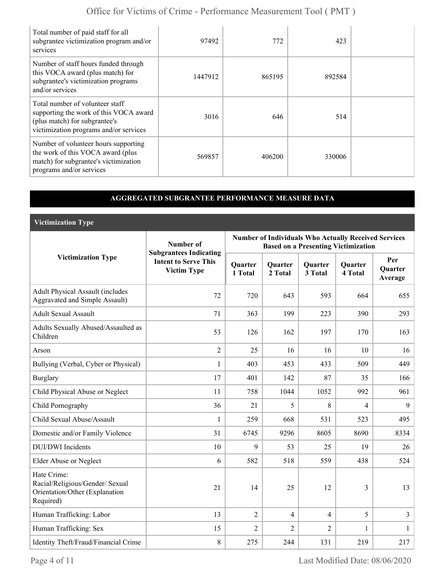| Total number of paid staff for all<br>subgrantee victimization program and/or<br>services                                                            | 97492   | 772    | 423    |  |
|------------------------------------------------------------------------------------------------------------------------------------------------------|---------|--------|--------|--|
| Number of staff hours funded through<br>this VOCA award (plus match) for<br>subgrantee's victimization programs<br>and/or services                   | 1447912 | 865195 | 892584 |  |
| Total number of volunteer staff<br>supporting the work of this VOCA award<br>(plus match) for subgrantee's<br>victimization programs and/or services | 3016    | 646    | 514    |  |
| Number of volunteer hours supporting<br>the work of this VOCA award (plus<br>match) for subgrantee's victimization<br>programs and/or services       | 569857  | 406200 | 330006 |  |

### **AGGREGATED SUBGRANTEE PERFORMANCE MEASURE DATA**

**Victimization Type**

|                                                                                               | Number of                                                                          | <b>Number of Individuals Who Actually Received Services</b><br><b>Based on a Presenting Victimization</b> |                    |                    |                           |                                  |  |
|-----------------------------------------------------------------------------------------------|------------------------------------------------------------------------------------|-----------------------------------------------------------------------------------------------------------|--------------------|--------------------|---------------------------|----------------------------------|--|
| <b>Victimization Type</b>                                                                     | <b>Subgrantees Indicating</b><br><b>Intent to Serve This</b><br><b>Victim Type</b> | Quarter<br>1 Total                                                                                        | Quarter<br>2 Total | Quarter<br>3 Total | <b>Quarter</b><br>4 Total | Per<br><b>Ouarter</b><br>Average |  |
| <b>Adult Physical Assault (includes</b><br>Aggravated and Simple Assault)                     | 72                                                                                 | 720                                                                                                       | 643                | 593                | 664                       | 655                              |  |
| <b>Adult Sexual Assault</b>                                                                   | 71                                                                                 | 363                                                                                                       | 199                | 223                | 390                       | 293                              |  |
| Adults Sexually Abused/Assaulted as<br>Children                                               | 53                                                                                 | 126                                                                                                       | 162                | 197                | 170                       | 163                              |  |
| Arson                                                                                         | $\overline{2}$                                                                     | 25                                                                                                        | 16                 | 16                 | 10                        | 16                               |  |
| Bullying (Verbal, Cyber or Physical)                                                          | $\mathbf{1}$                                                                       | 403                                                                                                       | 453                | 433                | 509                       | 449                              |  |
| <b>Burglary</b>                                                                               | 17                                                                                 | 401                                                                                                       | 142                | 87                 | 35                        | 166                              |  |
| Child Physical Abuse or Neglect                                                               | 11                                                                                 | 758                                                                                                       | 1044               | 1052               | 992                       | 961                              |  |
| Child Pornography                                                                             | 36                                                                                 | 21                                                                                                        | 5                  | 8                  | 4                         | 9                                |  |
| Child Sexual Abuse/Assault                                                                    | $\mathbf{1}$                                                                       | 259                                                                                                       | 668                | 531                | 523                       | 495                              |  |
| Domestic and/or Family Violence                                                               | 31                                                                                 | 6745                                                                                                      | 9296               | 8605               | 8690                      | 8334                             |  |
| <b>DUI/DWI</b> Incidents                                                                      | 10                                                                                 | 9                                                                                                         | 53                 | 25                 | 19                        | 26                               |  |
| Elder Abuse or Neglect                                                                        | 6                                                                                  | 582                                                                                                       | 518                | 559                | 438                       | 524                              |  |
| Hate Crime:<br>Racial/Religious/Gender/ Sexual<br>Orientation/Other (Explanation<br>Required) | 21                                                                                 | 14                                                                                                        | 25                 | 12                 | 3                         | 13                               |  |
| Human Trafficking: Labor                                                                      | 13                                                                                 | $\overline{2}$                                                                                            | $\overline{4}$     | $\overline{4}$     | 5                         | $\overline{3}$                   |  |
| Human Trafficking: Sex                                                                        | 15                                                                                 | 2                                                                                                         | 2                  | $\overline{2}$     | 1                         | 1                                |  |
| Identity Theft/Fraud/Financial Crime                                                          | $\,8\,$                                                                            | 275                                                                                                       | 244                | 131                | 219                       | 217                              |  |

Page 4 of 11 Last Modified Date: 08/06/2020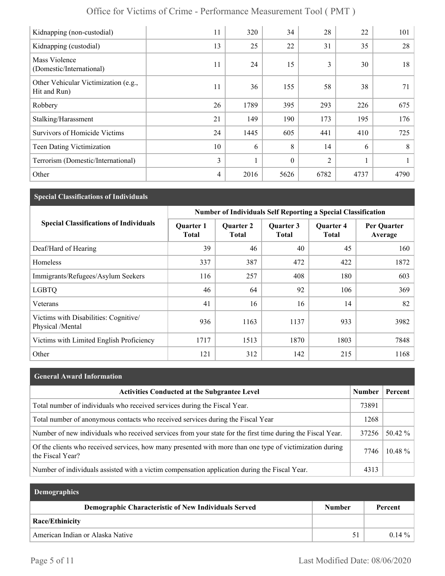| Kidnapping (non-custodial)                           | 11 | 320  | 34       | 28             | 22   | 101  |
|------------------------------------------------------|----|------|----------|----------------|------|------|
| Kidnapping (custodial)                               | 13 | 25   | 22       | 31             | 35   | 28   |
| Mass Violence<br>(Domestic/International)            | 11 | 24   | 15       | 3              | 30   | 18   |
| Other Vehicular Victimization (e.g.,<br>Hit and Run) | 11 | 36   | 155      | 58             | 38   | 71   |
| Robbery                                              | 26 | 1789 | 395      | 293            | 226  | 675  |
| Stalking/Harassment                                  | 21 | 149  | 190      | 173            | 195  | 176  |
| <b>Survivors of Homicide Victims</b>                 | 24 | 1445 | 605      | 441            | 410  | 725  |
| Teen Dating Victimization                            | 10 | 6    | 8        | 14             | 6    | 8    |
| Terrorism (Domestic/International)                   | 3  |      | $\theta$ | $\overline{2}$ |      |      |
| Other                                                | 4  | 2016 | 5626     | 6782           | 4737 | 4790 |

## **Special Classifications of Individuals**

|                                                           | <b>Number of Individuals Self Reporting a Special Classification</b> |                                  |                           |                                  |                        |  |
|-----------------------------------------------------------|----------------------------------------------------------------------|----------------------------------|---------------------------|----------------------------------|------------------------|--|
| <b>Special Classifications of Individuals</b>             | <b>Quarter 1</b><br><b>Total</b>                                     | <b>Quarter 2</b><br><b>Total</b> | Quarter 3<br><b>Total</b> | <b>Quarter 4</b><br><b>Total</b> | Per Quarter<br>Average |  |
| Deaf/Hard of Hearing                                      | 39                                                                   | 46                               | 40                        | 45                               | 160                    |  |
| Homeless                                                  | 337                                                                  | 387                              | 472                       | 422                              | 1872                   |  |
| Immigrants/Refugees/Asylum Seekers                        | 116                                                                  | 257                              | 408                       | 180                              | 603                    |  |
| <b>LGBTQ</b>                                              | 46                                                                   | 64                               | 92                        | 106                              | 369                    |  |
| Veterans                                                  | 41                                                                   | 16                               | 16                        | 14                               | 82                     |  |
| Victims with Disabilities: Cognitive/<br>Physical /Mental | 936                                                                  | 1163                             | 1137                      | 933                              | 3982                   |  |
| Victims with Limited English Proficiency                  | 1717                                                                 | 1513                             | 1870                      | 1803                             | 7848                   |  |
| Other                                                     | 121                                                                  | 312                              | 142                       | 215                              | 1168                   |  |

## **General Award Information**

| <b>Activities Conducted at the Subgrantee Level</b>                                                                          | <b>Number</b> | Percent    |
|------------------------------------------------------------------------------------------------------------------------------|---------------|------------|
| Total number of individuals who received services during the Fiscal Year.                                                    | 73891         |            |
| Total number of anonymous contacts who received services during the Fiscal Year                                              | 1268          |            |
| Number of new individuals who received services from your state for the first time during the Fiscal Year.                   | 37256         | $50.42\%$  |
| Of the clients who received services, how many presented with more than one type of victimization during<br>the Fiscal Year? | 7746          | $10.48 \%$ |
| Number of individuals assisted with a victim compensation application during the Fiscal Year.                                | 4313          |            |

| <b>Demographics</b>                                  |        |          |
|------------------------------------------------------|--------|----------|
| Demographic Characteristic of New Individuals Served | Number | Percent  |
| <b>Race/Ethinicity</b>                               |        |          |
| American Indian or Alaska Native                     | 51     | $0.14\%$ |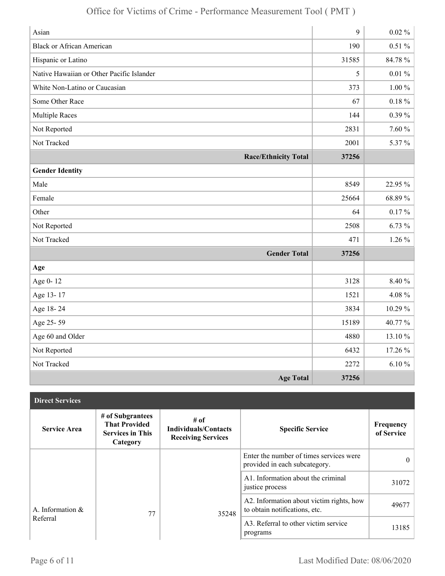| Asian                                     | 9     | $0.02 \%$  |
|-------------------------------------------|-------|------------|
| <b>Black or African American</b>          | 190   | $0.51\%$   |
| Hispanic or Latino                        | 31585 | 84.78 %    |
| Native Hawaiian or Other Pacific Islander | 5     | $0.01\%$   |
| White Non-Latino or Caucasian             | 373   | $1.00\,\%$ |
| Some Other Race                           | 67    | $0.18 \%$  |
| <b>Multiple Races</b>                     | 144   | $0.39\%$   |
| Not Reported                              | 2831  | 7.60 %     |
| Not Tracked                               | 2001  | 5.37%      |
| <b>Race/Ethnicity Total</b>               | 37256 |            |
| <b>Gender Identity</b>                    |       |            |
| Male                                      | 8549  | 22.95 %    |
| Female                                    | 25664 | 68.89%     |
| Other                                     | 64    | $0.17\%$   |
| Not Reported                              | 2508  | 6.73%      |
| Not Tracked                               | 471   | $1.26\%$   |
| <b>Gender Total</b>                       | 37256 |            |
| Age                                       |       |            |
| Age 0-12                                  | 3128  | 8.40 %     |
| Age 13-17                                 | 1521  | $4.08\%$   |
| Age 18-24                                 | 3834  | 10.29%     |
| Age 25-59                                 | 15189 | 40.77 %    |
| Age 60 and Older                          | 4880  | 13.10%     |
| Not Reported                              | 6432  | 17.26 %    |
| Not Tracked                               | 2272  | $6.10 \%$  |
| <b>Age Total</b>                          | 37256 |            |

| <b>Direct Services</b> |                                                                                 |                                                                  |                                                                           |                         |
|------------------------|---------------------------------------------------------------------------------|------------------------------------------------------------------|---------------------------------------------------------------------------|-------------------------|
| <b>Service Area</b>    | # of Subgrantees<br><b>That Provided</b><br><b>Services in This</b><br>Category | # of<br><b>Individuals/Contacts</b><br><b>Receiving Services</b> | <b>Specific Service</b>                                                   | Frequency<br>of Service |
|                        |                                                                                 |                                                                  | Enter the number of times services were<br>provided in each subcategory.  | $\theta$                |
|                        |                                                                                 |                                                                  | A1. Information about the criminal<br>justice process                     | 31072                   |
| A. Information $\&$    | 77                                                                              | 35248                                                            | A2. Information about victim rights, how<br>to obtain notifications, etc. | 49677                   |
| Referral               |                                                                                 |                                                                  | A3. Referral to other victim service<br>programs                          | 13185                   |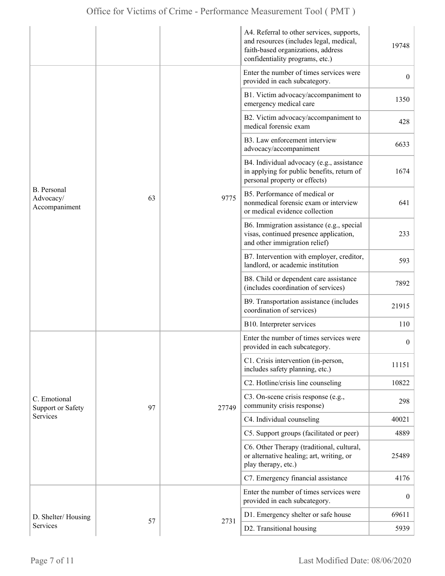|                                           |    |       | A4. Referral to other services, supports,<br>and resources (includes legal, medical,<br>faith-based organizations, address<br>confidentiality programs, etc.) | 19748            |
|-------------------------------------------|----|-------|---------------------------------------------------------------------------------------------------------------------------------------------------------------|------------------|
|                                           |    |       | Enter the number of times services were<br>provided in each subcategory.                                                                                      | $\overline{0}$   |
|                                           |    |       | B1. Victim advocacy/accompaniment to<br>emergency medical care                                                                                                | 1350             |
|                                           |    |       | B2. Victim advocacy/accompaniment to<br>medical forensic exam                                                                                                 | 428              |
|                                           |    |       | B3. Law enforcement interview<br>advocacy/accompaniment                                                                                                       | 6633             |
| B. Personal<br>Advocacy/<br>Accompaniment |    |       | B4. Individual advocacy (e.g., assistance<br>in applying for public benefits, return of<br>personal property or effects)                                      | 1674             |
|                                           | 63 | 9775  | B5. Performance of medical or<br>nonmedical forensic exam or interview<br>or medical evidence collection                                                      | 641              |
|                                           |    |       | B6. Immigration assistance (e.g., special<br>visas, continued presence application,<br>and other immigration relief)                                          | 233              |
|                                           |    |       | B7. Intervention with employer, creditor,<br>landlord, or academic institution                                                                                | 593              |
|                                           |    |       | B8. Child or dependent care assistance<br>(includes coordination of services)                                                                                 | 7892             |
|                                           |    |       | B9. Transportation assistance (includes<br>coordination of services)                                                                                          | 21915            |
|                                           |    |       | B10. Interpreter services                                                                                                                                     | 110              |
|                                           |    |       | Enter the number of times services were<br>provided in each subcategory.                                                                                      | $\boldsymbol{0}$ |
|                                           |    |       | C1. Crisis intervention (in-person,<br>includes safety planning, etc.)                                                                                        | 11151            |
|                                           |    |       | C2. Hotline/crisis line counseling                                                                                                                            | 10822            |
| C. Emotional<br><b>Support or Safety</b>  | 97 | 27749 | C3. On-scene crisis response (e.g.,<br>community crisis response)                                                                                             | 298              |
| Services                                  |    |       | C4. Individual counseling                                                                                                                                     | 40021            |
|                                           |    |       | C5. Support groups (facilitated or peer)                                                                                                                      | 4889             |
|                                           |    |       | C6. Other Therapy (traditional, cultural,<br>or alternative healing; art, writing, or<br>play therapy, etc.)                                                  | 25489            |
|                                           |    |       | C7. Emergency financial assistance                                                                                                                            | 4176             |
|                                           |    |       | Enter the number of times services were<br>provided in each subcategory.                                                                                      | $\boldsymbol{0}$ |
| D. Shelter/Housing                        |    |       | D1. Emergency shelter or safe house                                                                                                                           | 69611            |
| Services                                  | 57 | 2731  | D2. Transitional housing                                                                                                                                      | 5939             |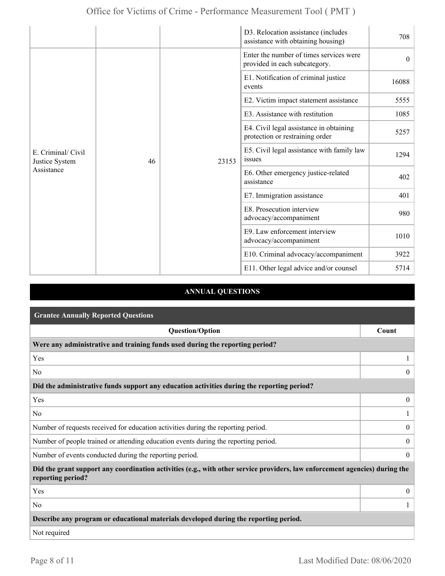|                                                    |    |       | D3. Relocation assistance (includes<br>assistance with obtaining housing)  | 708      |
|----------------------------------------------------|----|-------|----------------------------------------------------------------------------|----------|
| E. Criminal/ Civil<br>Justice System<br>Assistance |    | 23153 | Enter the number of times services were<br>provided in each subcategory.   | $\theta$ |
|                                                    |    |       | E1. Notification of criminal justice<br>events                             | 16088    |
|                                                    |    |       | E2. Victim impact statement assistance                                     | 5555     |
|                                                    |    |       | E3. Assistance with restitution                                            | 1085     |
|                                                    |    |       | E4. Civil legal assistance in obtaining<br>protection or restraining order | 5257     |
|                                                    | 46 |       | E5. Civil legal assistance with family law<br>issues                       | 1294     |
|                                                    |    |       | E6. Other emergency justice-related<br>assistance                          | 402      |
|                                                    |    |       | E7. Immigration assistance                                                 | 401      |
|                                                    |    |       | E8. Prosecution interview<br>advocacy/accompaniment                        | 980      |
|                                                    |    |       | E9. Law enforcement interview<br>advocacy/accompaniment                    | 1010     |
|                                                    |    |       | E10. Criminal advocacy/accompaniment                                       | 3922     |
|                                                    |    |       | E11. Other legal advice and/or counsel                                     | 5714     |

### **ANNUAL QUESTIONS**

| <b>Grantee Annually Reported Questions</b>                                                                                                       |                  |  |  |
|--------------------------------------------------------------------------------------------------------------------------------------------------|------------------|--|--|
| <b>Question/Option</b>                                                                                                                           | Count            |  |  |
| Were any administrative and training funds used during the reporting period?                                                                     |                  |  |  |
| Yes                                                                                                                                              |                  |  |  |
| N <sub>0</sub>                                                                                                                                   | $\theta$         |  |  |
| Did the administrative funds support any education activities during the reporting period?                                                       |                  |  |  |
| Yes                                                                                                                                              | $\overline{0}$   |  |  |
| N <sub>0</sub>                                                                                                                                   |                  |  |  |
| Number of requests received for education activities during the reporting period.                                                                | $\overline{0}$   |  |  |
| Number of people trained or attending education events during the reporting period.                                                              | $\boldsymbol{0}$ |  |  |
| Number of events conducted during the reporting period.                                                                                          | $\overline{0}$   |  |  |
| Did the grant support any coordination activities (e.g., with other service providers, law enforcement agencies) during the<br>reporting period? |                  |  |  |
| Yes                                                                                                                                              | $\overline{0}$   |  |  |
| N <sub>0</sub>                                                                                                                                   |                  |  |  |
| Describe any program or educational materials developed during the reporting period.                                                             |                  |  |  |
| Not required                                                                                                                                     |                  |  |  |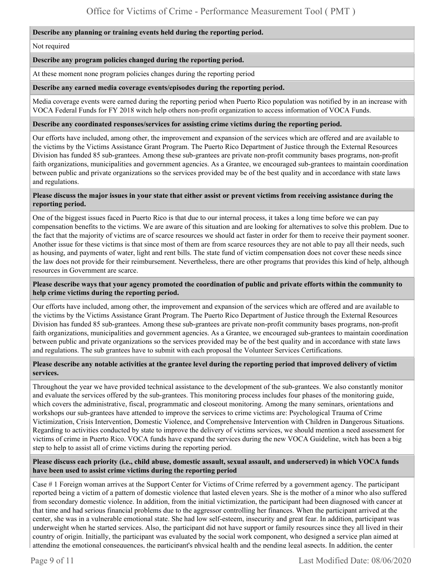#### **Describe any planning or training events held during the reporting period.**

#### Not required

#### **Describe any program policies changed during the reporting period.**

At these moment none program policies changes during the reporting period

#### **Describe any earned media coverage events/episodes during the reporting period.**

Media coverage events were earned during the reporting period when Puerto Rico population was notified by in an increase with VOCA Federal Funds for FY 2018 witch help others non-profit organization to access information of VOCA Funds.

#### **Describe any coordinated responses/services for assisting crime victims during the reporting period.**

Our efforts have included, among other, the improvement and expansion of the services which are offered and are available to the victims by the Victims Assistance Grant Program. The Puerto Rico Department of Justice through the External Resources Division has funded 85 sub-grantees. Among these sub-grantees are private non-profit community bases programs, non-profit faith organizations, municipalities and government agencies. As a Grantee, we encouraged sub-grantees to maintain coordination between public and private organizations so the services provided may be of the best quality and in accordance with state laws and regulations.

#### **Please discuss the major issues in your state that either assist or prevent victims from receiving assistance during the reporting period.**

One of the biggest issues faced in Puerto Rico is that due to our internal process, it takes a long time before we can pay compensation benefits to the victims. We are aware of this situation and are looking for alternatives to solve this problem. Due to the fact that the majority of victims are of scarce resources we should act faster in order for them to receive their payment sooner. Another issue for these victims is that since most of them are from scarce resources they are not able to pay all their needs, such as housing, and payments of water, light and rent bills. The state fund of victim compensation does not cover these needs since the law does not provide for their reimbursement. Nevertheless, there are other programs that provides this kind of help, although resources in Government are scarce.

### **Please describe ways that your agency promoted the coordination of public and private efforts within the community to help crime victims during the reporting period.**

Our efforts have included, among other, the improvement and expansion of the services which are offered and are available to the victims by the Victims Assistance Grant Program. The Puerto Rico Department of Justice through the External Resources Division has funded 85 sub-grantees. Among these sub-grantees are private non-profit community bases programs, non-profit faith organizations, municipalities and government agencies. As a Grantee, we encouraged sub-grantees to maintain coordination between public and private organizations so the services provided may be of the best quality and in accordance with state laws and regulations. The sub grantees have to submit with each proposal the Volunteer Services Certifications.

#### **Please describe any notable activities at the grantee level during the reporting period that improved delivery of victim services.**

Throughout the year we have provided technical assistance to the development of the sub-grantees. We also constantly monitor and evaluate the services offered by the sub-grantees. This monitoring process includes four phases of the monitoring guide, which covers the administrative, fiscal, programmatic and closeout monitoring. Among the many seminars, orientations and workshops our sub-grantees have attended to improve the services to crime victims are: Psychological Trauma of Crime Victimization, Crisis Intervention, Domestic Violence, and Comprehensive Intervention with Children in Dangerous Situations. Regarding to activities conducted by state to improve the delivery of victims services, we should mention a need assessment for victims of crime in Puerto Rico. VOCA funds have expand the services during the new VOCA Guideline, witch has been a big step to help to assist all of crime victims during the reporting period.

#### **Please discuss each priority (i.e., child abuse, domestic assault, sexual assault, and underserved) in which VOCA funds have been used to assist crime victims during the reporting period**

Case # 1 Foreign woman arrives at the Support Center for Victims of Crime referred by a government agency. The participant reported being a victim of a pattern of domestic violence that lasted eleven years. She is the mother of a minor who also suffered from secondary domestic violence. In addition, from the initial victimization, the participant had been diagnosed with cancer at that time and had serious financial problems due to the aggressor controlling her finances. When the participant arrived at the center, she was in a vulnerable emotional state. She had low self-esteem, insecurity and great fear. In addition, participant was underweight when he started services. Also, the participant did not have support or family resources since they all lived in their country of origin. Initially, the participant was evaluated by the social work component, who designed a service plan aimed at attending the emotional consequences, the participant's physical health and the pending legal aspects. In addition, the center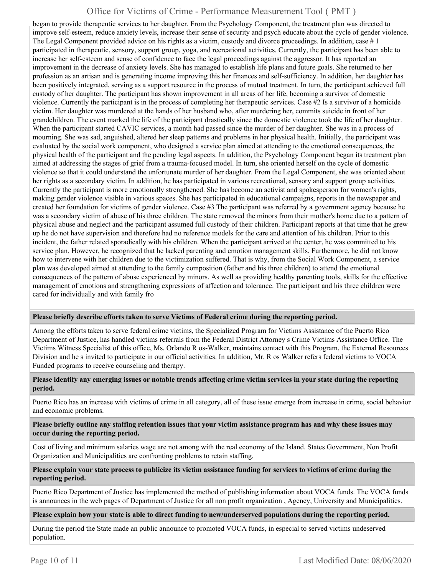began to provide therapeutic services to her daughter. From the Psychology Component, the treatment plan was directed to improve self-esteem, reduce anxiety levels, increase their sense of security and psych educate about the cycle of gender violence. The Legal Component provided advice on his rights as a victim, custody and divorce proceedings. In addition, case  $\#$  1 participated in therapeutic, sensory, support group, yoga, and recreational activities. Currently, the participant has been able to increase her self-esteem and sense of confidence to face the legal proceedings against the aggressor. It has reported an improvement in the decrease of anxiety levels. She has managed to establish life plans and future goals. She returned to her profession as an artisan and is generating income improving this her finances and self-sufficiency. In addition, her daughter has been positively integrated, serving as a support resource in the process of mutual treatment. In turn, the participant achieved full custody of her daughter. The participant has shown improvement in all areas of her life, becoming a survivor of domestic violence. Currently the participant is in the process of completing her therapeutic services. Case #2 Is a survivor of a homicide victim. Her daughter was murdered at the hands of her husband who, after murdering her, commits suicide in front of her grandchildren. The event marked the life of the participant drastically since the domestic violence took the life of her daughter. When the participant started CAVIC services, a month had passed since the murder of her daughter. She was in a process of mourning. She was sad, anguished, altered her sleep patterns and problems in her physical health. Initially, the participant was evaluated by the social work component, who designed a service plan aimed at attending to the emotional consequences, the physical health of the participant and the pending legal aspects. In addition, the Psychology Component began its treatment plan aimed at addressing the stages of grief from a trauma-focused model. In turn, she oriented herself on the cycle of domestic violence so that it could understand the unfortunate murder of her daughter. From the Legal Component, she was oriented about her rights as a secondary victim. In addition, he has participated in various recreational, sensory and support group activities. Currently the participant is more emotionally strengthened. She has become an activist and spokesperson for women's rights, making gender violence visible in various spaces. She has participated in educational campaigns, reports in the newspaper and created her foundation for victims of gender violence. Case #3 The participant was referred by a government agency because he was a secondary victim of abuse of his three children. The state removed the minors from their mother's home due to a pattern of physical abuse and neglect and the participant assumed full custody of their children. Participant reports at that time that he grew up he do not have supervision and therefore had no reference models for the care and attention of his children. Prior to this incident, the father related sporadically with his children. When the participant arrived at the center, he was committed to his service plan. However, he recognized that he lacked parenting and emotion management skills. Furthermore, he did not know how to intervene with her children due to the victimization suffered. That is why, from the Social Work Component, a service plan was developed aimed at attending to the family composition (father and his three children) to attend the emotional consequences of the pattern of abuse experienced by minors. As well as providing healthy parenting tools, skills for the effective management of emotions and strengthening expressions of affection and tolerance. The participant and his three children were cared for individually and with family fro

#### **Please briefly describe efforts taken to serve Victims of Federal crime during the reporting period.**

Among the efforts taken to serve federal crime victims, the Specialized Program for Victims Assistance of the Puerto Rico Department of Justice, has handled victims referrals from the Federal District Attorney s Crime Victims Assistance Office. The Victims Witness Specialist of this office, Ms. Orlando R os-Walker, maintains contact with this Program, the External Resources Division and he s invited to participate in our official activities. In addition, Mr. R os Walker refers federal victims to VOCA Funded programs to receive counseling and therapy.

### **Please identify any emerging issues or notable trends affecting crime victim services in your state during the reporting period.**

Puerto Rico has an increase with victims of crime in all category, all of these issue emerge from increase in crime, social behavior and economic problems.

#### **Please briefly outline any staffing retention issues that your victim assistance program has and why these issues may occur during the reporting period.**

Cost of living and minimum salaries wage are not among with the real economy of the Island. States Government, Non Profit Organization and Municipalities are confronting problems to retain staffing.

#### **Please explain your state process to publicize its victim assistance funding for services to victims of crime during the reporting period.**

Puerto Rico Department of Justice has implemented the method of publishing information about VOCA funds. The VOCA funds is announces in the web pages of Department of Justice for all non profit organization , Agency, University and Municipalities.

#### **Please explain how your state is able to direct funding to new/underserved populations during the reporting period.**

During the period the State made an public announce to promoted VOCA funds, in especial to served victims undeserved population.